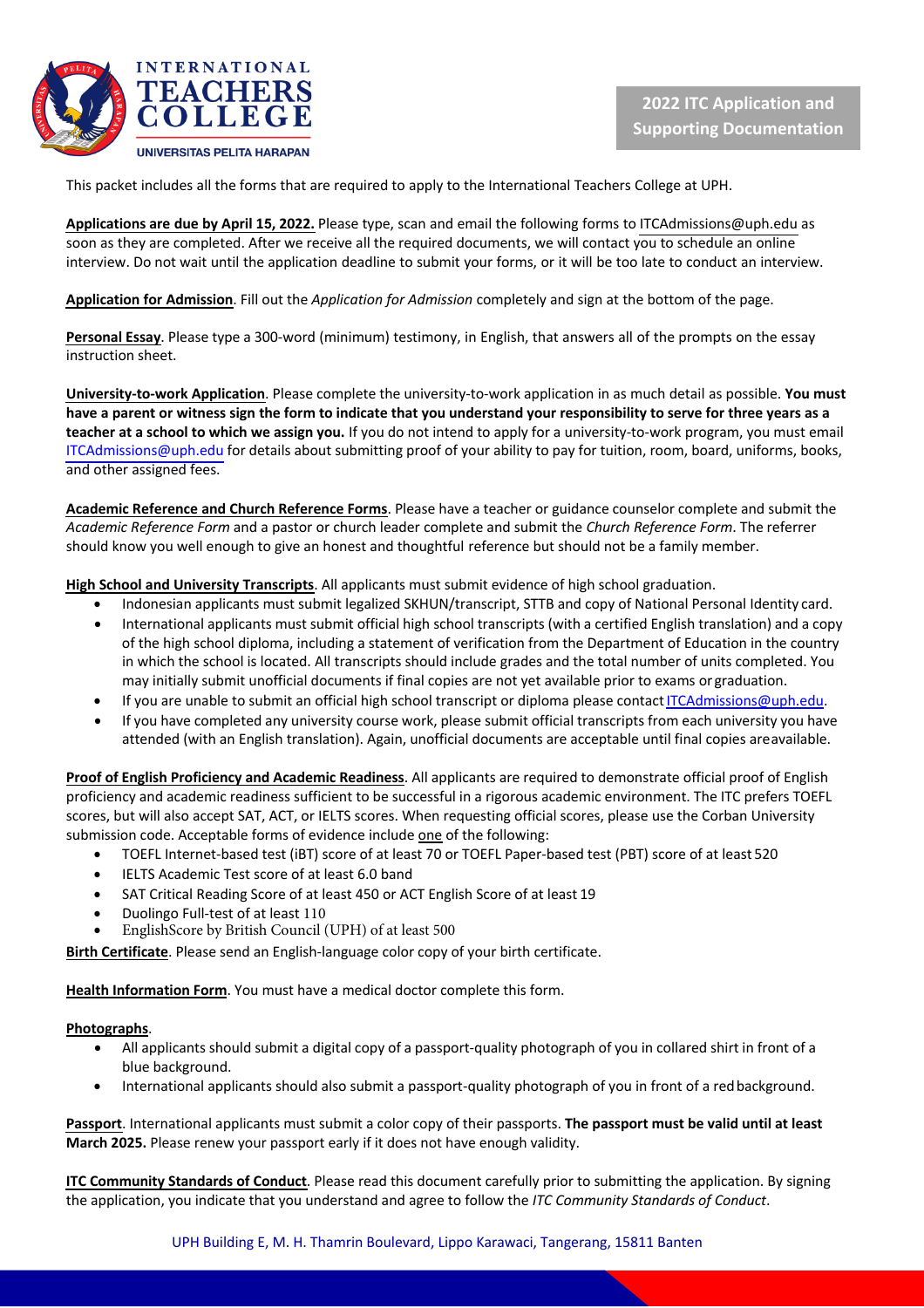

This packet includes all the forms that are required to apply to the International Teachers College at UPH.

**Applications are due by April 15, 2022.** Please type, scan and email the following forms to ITCAdmissions@uph.edu as soon as they are completed. After we receive all the required documents, we will contact you to schedule an online interview. Do not wait until the application deadline to submit your forms, or it will be too late to conduct an interview.

**Application for Admission**. Fill out the *Application for Admission* completely and sign at the bottom of the page.

**Personal Essay**. Please type a 300-word (minimum) testimony, in English, that answers all of the prompts on the essay instruction sheet.

**University-to-work Application**. Please complete the university-to-work application in as much detail as possible. **You must have a parent or witness sign the form to indicate that you understand your responsibility to serve for three years as a teacher at a school to which we assign you.** If you do not intend to apply for a university-to-work program, you must email ITCAdmissions@uph.edu for details about submitting proof of your ability to pay for tuition, room, board, uniforms, books, and other assigned fees.

**Academic Reference and Church Reference Forms**. Please have a teacher or guidance counselor complete and submit the *Academic Reference Form* and a pastor or church leader complete and submit the *Church Reference Form*. The referrer should know you well enough to give an honest and thoughtful reference but should not be a family member.

**High School and University Transcripts**. All applicants must submit evidence of high school graduation.

- Indonesian applicants must submit legalized SKHUN/transcript, STTB and copy of National Personal Identity card.
- International applicants must submit official high school transcripts (with a certified English translation) and a copy of the high school diploma, including a statement of verification from the Department of Education in the country in which the school is located. All transcripts should include grades and the total number of units completed. You may initially submit unofficial documents if final copies are not yet available prior to exams or graduation.
- If you are unable to submit an official high school transcript or diploma please contactITCAdmissions@uph.edu.
- If you have completed any university course work, please submit official transcripts from each university you have attended (with an English translation). Again, unofficial documents are acceptable until final copies areavailable.

**Proof of English Proficiency and Academic Readiness**. All applicants are required to demonstrate official proof of English proficiency and academic readiness sufficient to be successful in a rigorous academic environment. The ITC prefers TOEFL scores, but will also accept SAT, ACT, or IELTS scores. When requesting official scores, please use the Corban University submission code. Acceptable forms of evidence include one of the following:

- TOEFL Internet-based test (iBT) score of at least 70 or TOEFL Paper-based test (PBT) score of at least 520
- IELTS Academic Test score of at least 6.0 band
- SAT Critical Reading Score of at least 450 or ACT English Score of at least 19
- Duolingo Full-test of at least 110
- EnglishScore by British Council (UPH) of at least 500

**Birth Certificate**. Please send an English-language color copy of your birth certificate.

**Health Information Form**. You must have a medical doctor complete this form.

#### **Photographs**.

- All applicants should submit a digital copy of a passport-quality photograph of you in collared shirt in front of a blue background.
- International applicants should also submit a passport-quality photograph of you in front of a redbackground.

**Passport**. International applicants must submit a color copy of their passports. **The passport must be valid until at least March 2025.** Please renew your passport early if it does not have enough validity.

**ITC Community Standards of Conduct**. Please read this document carefully prior to submitting the application. By signing the application, you indicate that you understand and agree to follow the *ITC Community Standards of Conduct*.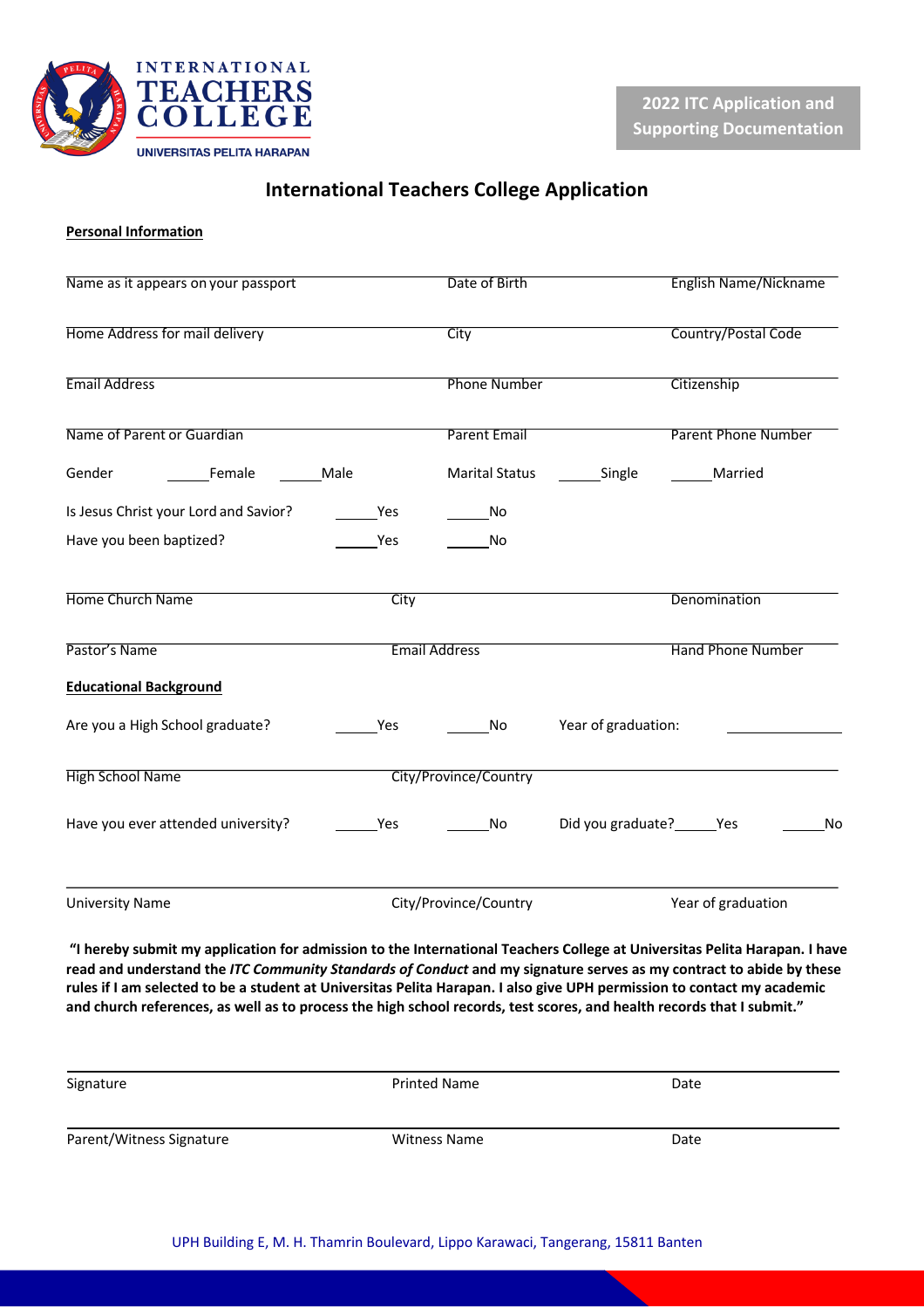

## **International Teachers College Application**

### **Personal Information**

| Name as it appears on your passport                                                                                                                                                                                                                                                                                                                                                                                                                                                                  |                      | Date of Birth         |                              | <b>English Name/Nickname</b> |  |  |  |
|------------------------------------------------------------------------------------------------------------------------------------------------------------------------------------------------------------------------------------------------------------------------------------------------------------------------------------------------------------------------------------------------------------------------------------------------------------------------------------------------------|----------------------|-----------------------|------------------------------|------------------------------|--|--|--|
| Home Address for mail delivery                                                                                                                                                                                                                                                                                                                                                                                                                                                                       |                      | City                  | <b>Country/Postal Code</b>   |                              |  |  |  |
| <b>Email Address</b>                                                                                                                                                                                                                                                                                                                                                                                                                                                                                 |                      | <b>Phone Number</b>   |                              | Citizenship                  |  |  |  |
| Name of Parent or Guardian                                                                                                                                                                                                                                                                                                                                                                                                                                                                           |                      | <b>Parent Email</b>   |                              | <b>Parent Phone Number</b>   |  |  |  |
| Gender<br>Female                                                                                                                                                                                                                                                                                                                                                                                                                                                                                     | Male                 | <b>Marital Status</b> | Single                       | Married                      |  |  |  |
| Is Jesus Christ your Lord and Savior?                                                                                                                                                                                                                                                                                                                                                                                                                                                                | Yes                  | No                    |                              |                              |  |  |  |
| Have you been baptized?                                                                                                                                                                                                                                                                                                                                                                                                                                                                              | Yes                  | No                    |                              |                              |  |  |  |
| Home Church Name                                                                                                                                                                                                                                                                                                                                                                                                                                                                                     | City                 |                       |                              | Denomination                 |  |  |  |
| Pastor's Name                                                                                                                                                                                                                                                                                                                                                                                                                                                                                        | <b>Email Address</b> |                       | <b>Hand Phone Number</b>     |                              |  |  |  |
| <b>Educational Background</b>                                                                                                                                                                                                                                                                                                                                                                                                                                                                        |                      |                       |                              |                              |  |  |  |
| Are you a High School graduate?                                                                                                                                                                                                                                                                                                                                                                                                                                                                      | Yes                  | <b>No</b>             | Year of graduation:          |                              |  |  |  |
| <b>High School Name</b>                                                                                                                                                                                                                                                                                                                                                                                                                                                                              |                      | City/Province/Country |                              |                              |  |  |  |
| Have you ever attended university?                                                                                                                                                                                                                                                                                                                                                                                                                                                                   | Yes                  | No                    | Did you graduate? ______ Yes | No                           |  |  |  |
| <b>University Name</b>                                                                                                                                                                                                                                                                                                                                                                                                                                                                               |                      | City/Province/Country |                              | Year of graduation           |  |  |  |
| "I hereby submit my application for admission to the International Teachers College at Universitas Pelita Harapan. I have<br>read and understand the ITC Community Standards of Conduct and my signature serves as my contract to abide by these<br>rules if I am selected to be a student at Universitas Pelita Harapan. I also give UPH permission to contact my academic<br>and church references, as well as to process the high school records, test scores, and health records that I submit." |                      |                       |                              |                              |  |  |  |

| Signature                | Printed Name        | Date |
|--------------------------|---------------------|------|
| Parent/Witness Signature | <b>Witness Name</b> | Date |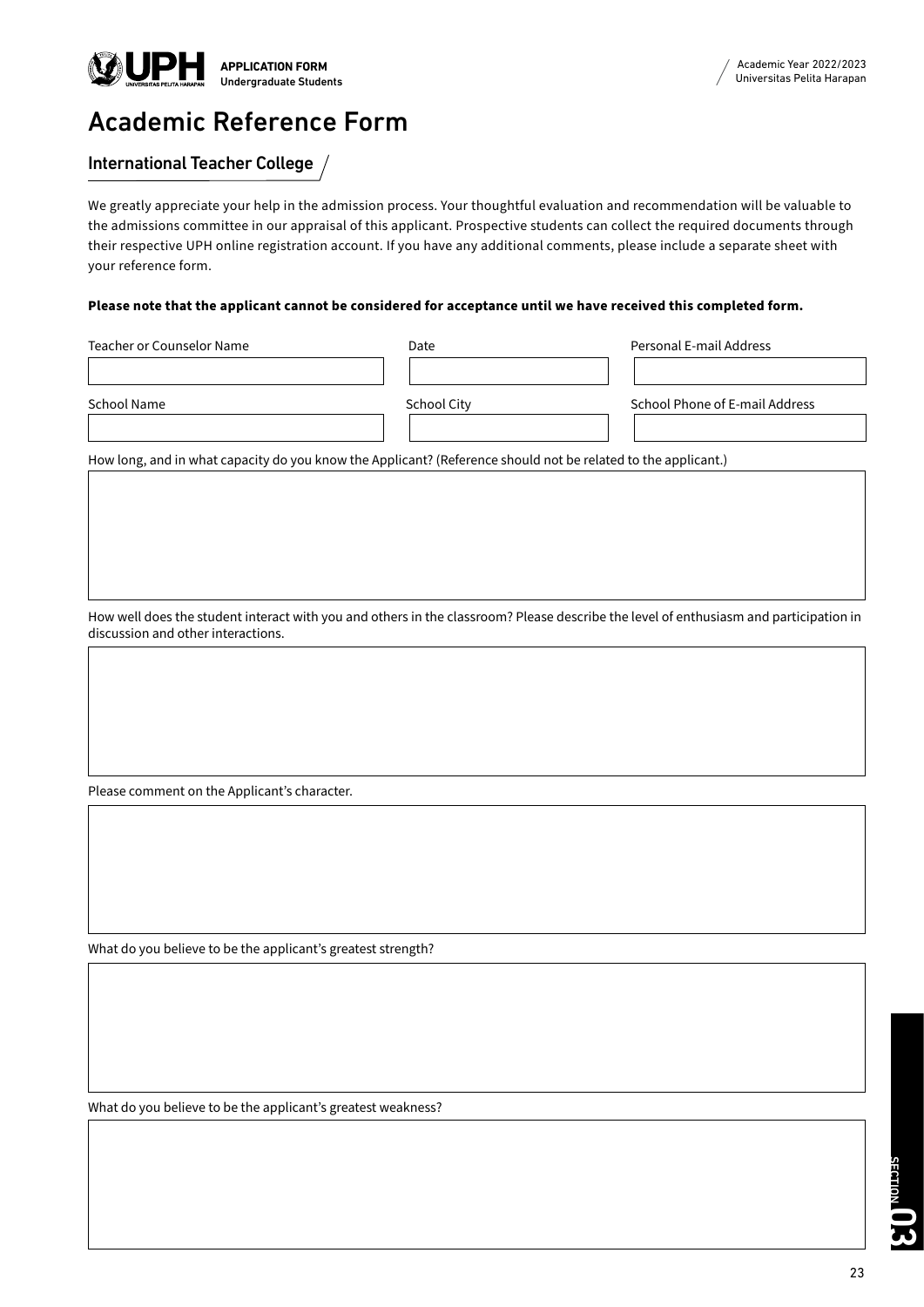

# Academic Reference Form

## International Teacher College

We greatly appreciate your help in the admission process. Your thoughtful evaluation and recommendation will be valuable to the admissions committee in our appraisal of this applicant. Prospective students can collect the required documents through their respective UPH online registration account. If you have any additional comments, please include a separate sheet with your reference form.

#### **Please note that the applicant cannot be considered for acceptance until we have received this completed form.**

| Teacher or Counselor Name | Date        | Personal E-mail Address        |
|---------------------------|-------------|--------------------------------|
|                           |             |                                |
| School Name               | School City | School Phone of E-mail Address |
|                           |             |                                |

How long, and in what capacity do you know the Applicant? (Reference should not be related to the applicant.)

How well does the student interact with you and others in the classroom? Please describe the level of enthusiasm and participation in discussion and other interactions.

Please comment on the Applicant's character.

What do you believe to be the applicant's greatest strength?

What do you believe to be the applicant's greatest weakness?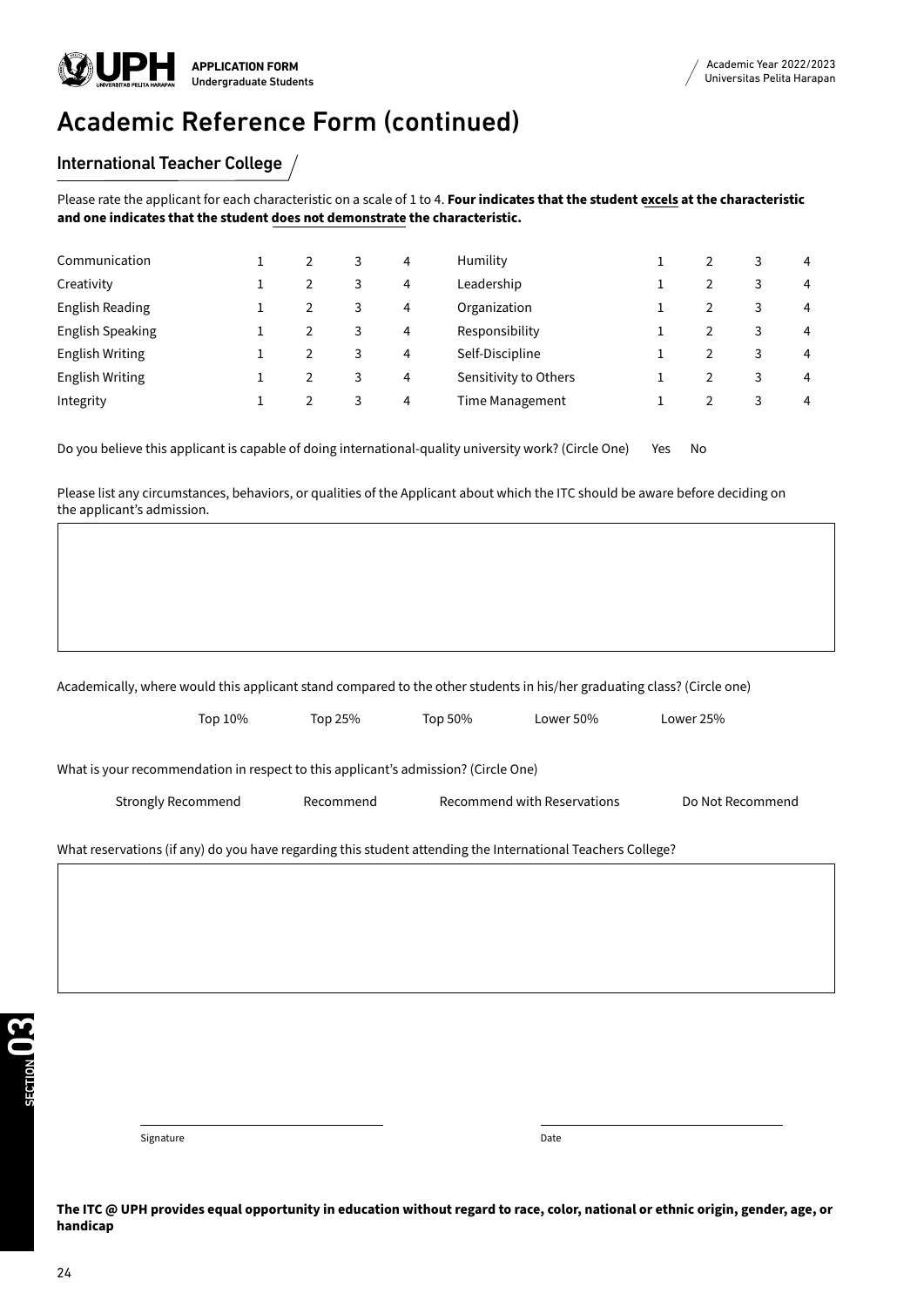

# Academic Reference Form (continued)

### International Teacher College /

Please rate the applicant for each characteristic on a scale of 1 to 4. **Four indicates that the student excels at the characteristic and one indicates that the student does not demonstrate the characteristic.**

| Communication           |  | 3 | 4 | Humility              |   | 3 | $\overline{4}$ |
|-------------------------|--|---|---|-----------------------|---|---|----------------|
| Creativity              |  | 3 | 4 | Leadership            |   |   | 4              |
| <b>English Reading</b>  |  | 3 | 4 | Organization          |   | 3 | 4              |
| <b>English Speaking</b> |  | 3 | 4 | Responsibility        |   | 3 | 4              |
| <b>English Writing</b>  |  | 3 | 4 | Self-Discipline       |   | 3 | 4              |
| <b>English Writing</b>  |  | 3 | 4 | Sensitivity to Others |   | 3 | $\overline{4}$ |
| Integrity               |  | 3 | 4 | Time Management       | 2 | 3 | $\overline{4}$ |
|                         |  |   |   |                       |   |   |                |

Do you believe this applicant is capable of doing international-quality university work? (Circle One) Yes No

Please list any circumstances, behaviors, or qualities of the Applicant about which the ITC should be aware before deciding on the applicant's admission.

|                                                                                    | Top 10% | Top 25%   | Top 50% | Lower 50%                                                                                                   | Lower 25%        |
|------------------------------------------------------------------------------------|---------|-----------|---------|-------------------------------------------------------------------------------------------------------------|------------------|
| What is your recommendation in respect to this applicant's admission? (Circle One) |         |           |         |                                                                                                             |                  |
| Strongly Recommend                                                                 |         | Recommend |         | Recommend with Reservations                                                                                 | Do Not Recommend |
|                                                                                    |         |           |         | What reservations (if any) do you have regarding this student attending the International Teachers College? |                  |

Signature Date Date of the Date of the Date of the Date of the Date of the Date of the Date of the Date of the

**The ITC @ UPH provides equal opportunity in education without regard to race, color, national or ethnic origin, gender, age, or handicap**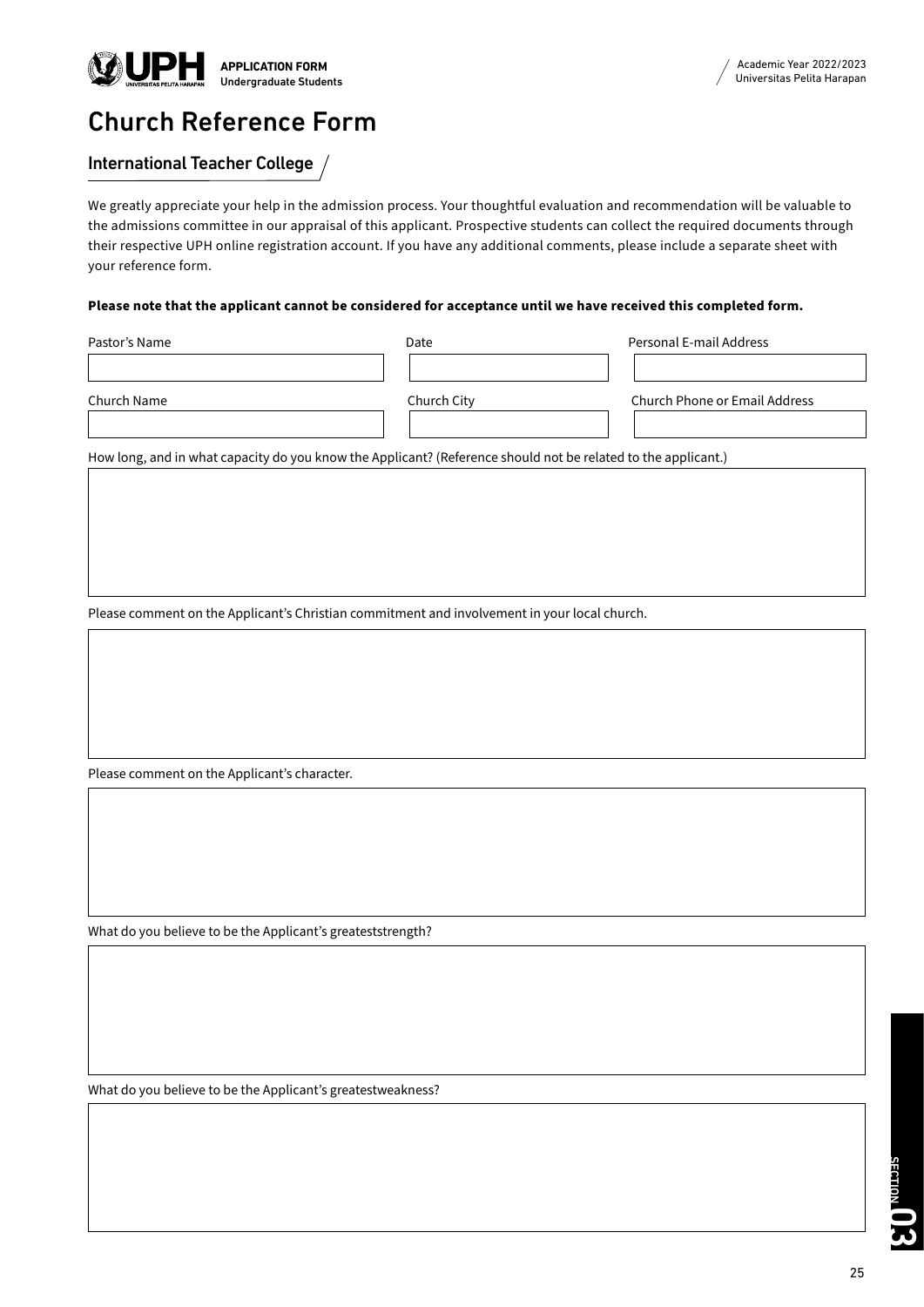

# Church Reference Form

## International Teacher College

We greatly appreciate your help in the admission process. Your thoughtful evaluation and recommendation will be valuable to the admissions committee in our appraisal of this applicant. Prospective students can collect the required documents through their respective UPH online registration account. If you have any additional comments, please include a separate sheet with your reference form.

### **Please note that the applicant cannot be considered for acceptance until we have received this completed form.**

| Pastor's Name | Date        | Personal E-mail Address       |
|---------------|-------------|-------------------------------|
|               |             |                               |
| Church Name   | Church City | Church Phone or Email Address |
|               |             |                               |

How long, and in what capacity do you know the Applicant? (Reference should not be related to the applicant.)

Please comment on the Applicant's Christian commitment and involvement in your local church.

Please comment on the Applicant's character.

What do you believe to be the Applicant's greateststrength?

What do you believe to be the Applicant's greatestweakness?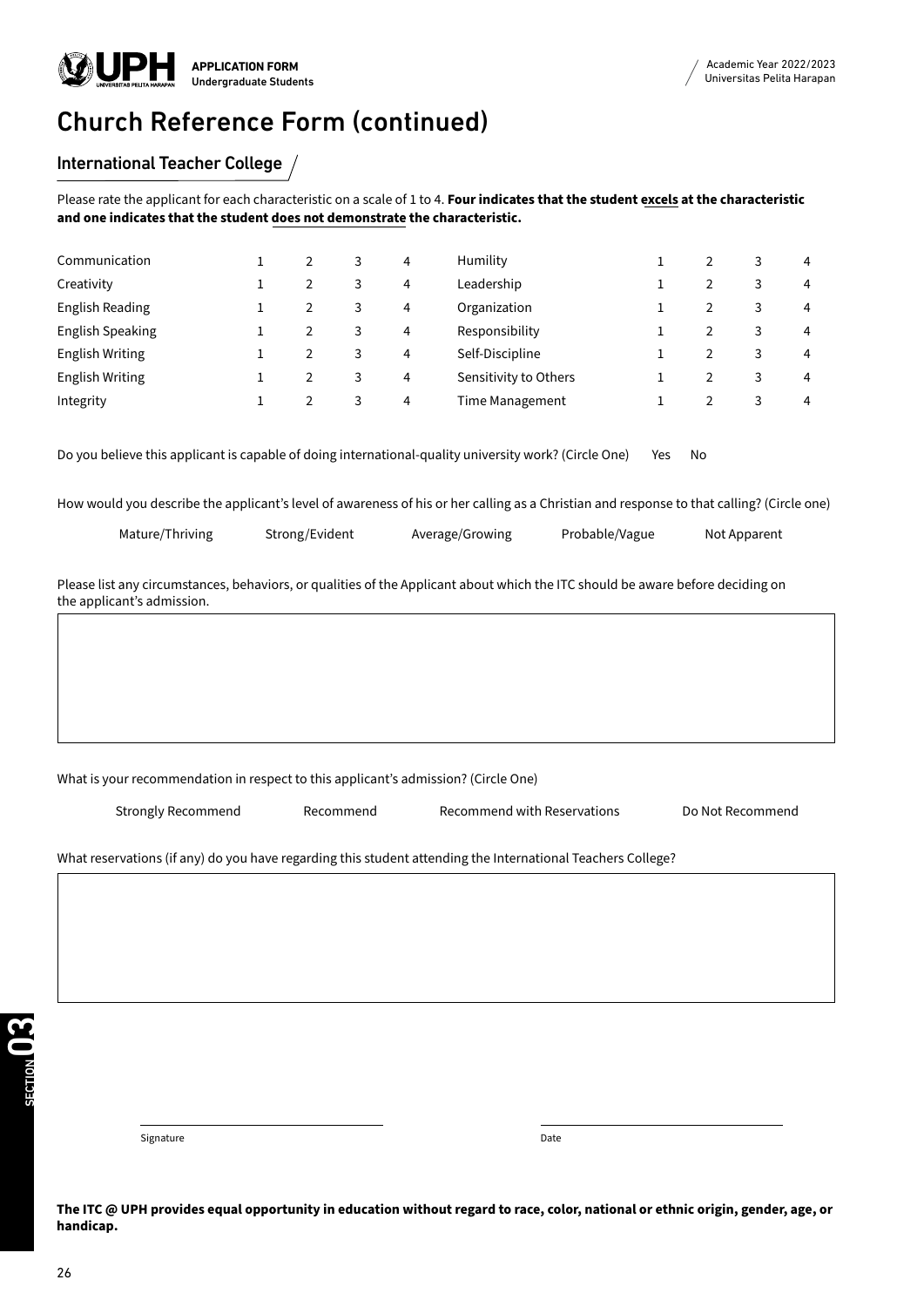# Church Reference Form (continued)

## International Teacher College

Please rate the applicant for each characteristic on a scale of 1 to 4. **Four indicates that the student excels at the characteristic and one indicates that the student does not demonstrate the characteristic.**

| Communication           |  | 3 | 4 | Humility              |  | $\overline{4}$ |
|-------------------------|--|---|---|-----------------------|--|----------------|
| Creativity              |  | 3 | 4 | Leadership            |  | 4              |
| English Reading         |  | 3 | 4 | Organization          |  | 4              |
| <b>English Speaking</b> |  | 3 | 4 | Responsibility        |  | $\overline{4}$ |
| <b>English Writing</b>  |  | 3 | 4 | Self-Discipline       |  | 4              |
| <b>English Writing</b>  |  | 3 | 4 | Sensitivity to Others |  | 4              |
| Integrity               |  | 3 | 4 | Time Management       |  | 4              |

Do you believe this applicant is capable of doing international-quality university work? (Circle One) Yes No

How would you describe the applicant's level of awareness of his or her calling as a Christian and response to that calling? (Circle one)

| Mature/Thriving | Strong/Evident | Average/Growing | Probable/Vague | Not Apparent |
|-----------------|----------------|-----------------|----------------|--------------|
|                 |                |                 |                |              |

Please list any circumstances, behaviors, or qualities of the Applicant about which the ITC should be aware before deciding on the applicant's admission.

#### What is your recommendation in respect to this applicant's admission? (Circle One)

Strongly Recommend Recommend Recommend with Reservations Do Not Recommend

What reservations (if any) do you have regarding this student attending the International Teachers College?

Signature Date Date of the Date of the Date of the Date of the Date of the Date of the Date of the Date of the

**The ITC @ UPH provides equal opportunity in education without regard to race, color, national or ethnic origin, gender, age, or handicap.**